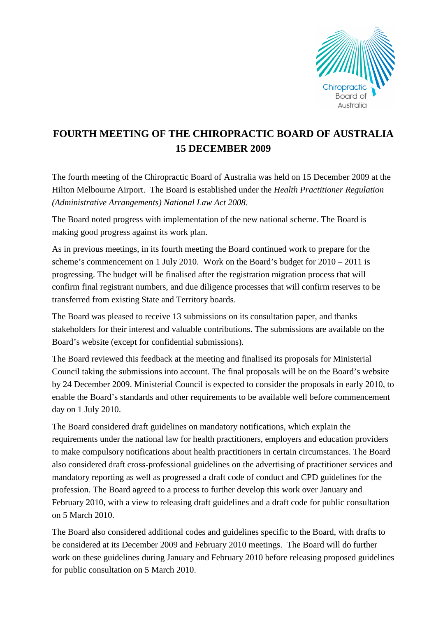

## **FOURTH MEETING OF THE CHIROPRACTIC BOARD OF AUSTRALIA 15 DECEMBER 2009**

The fourth meeting of the Chiropractic Board of Australia was held on 15 December 2009 at the Hilton Melbourne Airport. The Board is established under the *Health Practitioner Regulation (Administrative Arrangements) National Law Act 2008.* 

The Board noted progress with implementation of the new national scheme. The Board is making good progress against its work plan.

As in previous meetings, in its fourth meeting the Board continued work to prepare for the scheme's commencement on 1 July 2010. Work on the Board's budget for 2010 – 2011 is progressing. The budget will be finalised after the registration migration process that will confirm final registrant numbers, and due diligence processes that will confirm reserves to be transferred from existing State and Territory boards.

The Board was pleased to receive 13 submissions on its consultation paper, and thanks stakeholders for their interest and valuable contributions. The submissions are available on the Board's website (except for confidential submissions).

The Board reviewed this feedback at the meeting and finalised its proposals for Ministerial Council taking the submissions into account. The final proposals will be on the Board's website by 24 December 2009. Ministerial Council is expected to consider the proposals in early 2010, to enable the Board's standards and other requirements to be available well before commencement day on 1 July 2010.

The Board considered draft guidelines on mandatory notifications, which explain the requirements under the national law for health practitioners, employers and education providers to make compulsory notifications about health practitioners in certain circumstances. The Board also considered draft cross-professional guidelines on the advertising of practitioner services and mandatory reporting as well as progressed a draft code of conduct and CPD guidelines for the profession. The Board agreed to a process to further develop this work over January and February 2010, with a view to releasing draft guidelines and a draft code for public consultation on 5 March 2010.

The Board also considered additional codes and guidelines specific to the Board, with drafts to be considered at its December 2009 and February 2010 meetings. The Board will do further work on these guidelines during January and February 2010 before releasing proposed guidelines for public consultation on 5 March 2010.